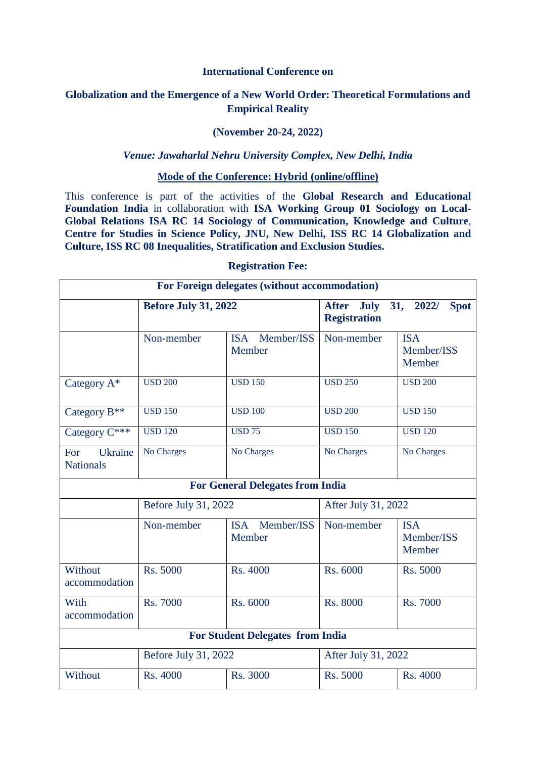## **International Conference on**

# **Globalization and the Emergence of a New World Order: Theoretical Formulations and Empirical Reality**

## **(November 20-24, 2022)**

#### *Venue: Jawaharlal Nehru University Complex, New Delhi, India*

#### **Mode of the Conference: Hybrid (online/offline)**

This conference is part of the activities of the **Global Research and Educational Foundation India** in collaboration with **ISA Working Group 01 Sociology on Local-Global Relations ISA RC 14 Sociology of Communication, Knowledge and Culture**, **Centre for Studies in Science Policy, JNU, New Delhi, ISS RC 14 Globalization and Culture, ISS RC 08 Inequalities, Stratification and Exclusion Studies.**

| For Foreign delegates (without accommodation) |                             |                                    |                                                                                   |                                    |  |  |  |
|-----------------------------------------------|-----------------------------|------------------------------------|-----------------------------------------------------------------------------------|------------------------------------|--|--|--|
|                                               | <b>Before July 31, 2022</b> |                                    | <b>After</b><br><b>July</b><br>31,<br>2022/<br><b>Spot</b><br><b>Registration</b> |                                    |  |  |  |
|                                               | Non-member                  | <b>ISA</b><br>Member/ISS<br>Member | Non-member                                                                        | <b>ISA</b><br>Member/ISS<br>Member |  |  |  |
| Category A*                                   | <b>USD 200</b>              | <b>USD 150</b>                     | <b>USD 250</b>                                                                    | <b>USD 200</b>                     |  |  |  |
| Category B <sup>**</sup>                      | <b>USD 150</b>              | <b>USD 100</b>                     | <b>USD 200</b>                                                                    | <b>USD 150</b>                     |  |  |  |
| Category C***                                 | <b>USD 120</b>              | <b>USD 75</b>                      | <b>USD 150</b>                                                                    | <b>USD 120</b>                     |  |  |  |
| For<br>Ukraine<br><b>Nationals</b>            | No Charges                  | No Charges                         | No Charges                                                                        | No Charges                         |  |  |  |
| <b>For General Delegates from India</b>       |                             |                                    |                                                                                   |                                    |  |  |  |
|                                               | Before July 31, 2022        |                                    | After July 31, 2022                                                               |                                    |  |  |  |
|                                               | Non-member                  | Member/ISS<br><b>ISA</b><br>Member | Non-member                                                                        | <b>ISA</b><br>Member/ISS<br>Member |  |  |  |
| Without<br>accommodation                      | Rs. 5000                    | Rs. 4000                           | Rs. 6000                                                                          | Rs. 5000                           |  |  |  |
| With<br>accommodation                         | <b>Rs. 7000</b>             | Rs. 6000                           | <b>Rs. 8000</b>                                                                   | <b>Rs. 7000</b>                    |  |  |  |
| <b>For Student Delegates from India</b>       |                             |                                    |                                                                                   |                                    |  |  |  |
|                                               | Before July 31, 2022        |                                    | After July 31, 2022                                                               |                                    |  |  |  |
| Without                                       | Rs. 4000                    | Rs. 3000                           | Rs. 5000                                                                          | Rs. 4000                           |  |  |  |

#### **Registration Fee:**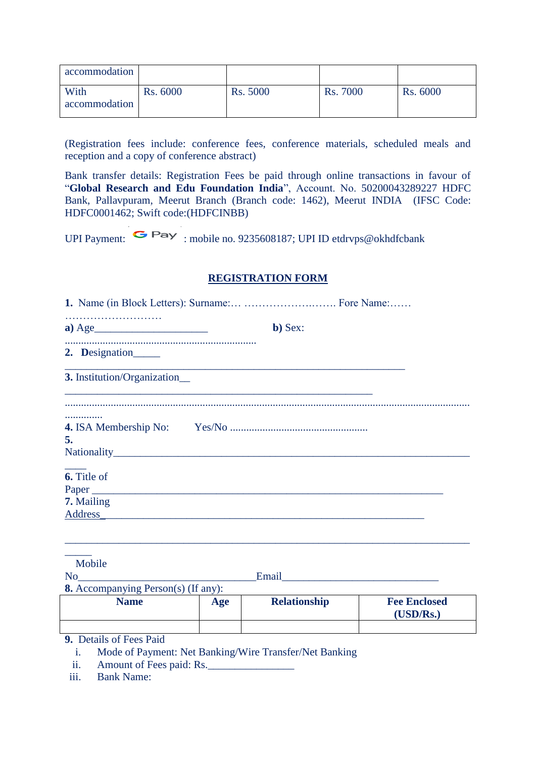| accommodation         |                 |                 |                 |                 |
|-----------------------|-----------------|-----------------|-----------------|-----------------|
| With<br>accommodation | <b>Rs. 6000</b> | <b>Rs. 5000</b> | <b>Rs. 7000</b> | <b>Rs. 6000</b> |

(Registration fees include: conference fees, conference materials, scheduled meals and reception and a copy of conference abstract)

Bank transfer details: Registration Fees be paid through online transactions in favour of "**Global Research and Edu Foundation India**", Account. No. 50200043289227 HDFC Bank, Pallavpuram, Meerut Branch (Branch code: 1462), Meerut INDIA (IFSC Code: HDFC0001462; Swift code:(HDFCINBB)

UPI Payment:  $\bullet$  Pay : mobile no. 9235608187; UPI ID etdryps@okhdfcbank

## **REGISTRATION FORM**

| $a) \text{Age}$                      | b) Sex: |
|--------------------------------------|---------|
| 2. Designation                       |         |
| 3. Institution/Organization          |         |
| .<br>5.                              |         |
| 6. Title of<br>7. Mailing<br>Address |         |

| Mobile<br>N <sub>0</sub>                   |     | Email               |                                  |  |  |  |
|--------------------------------------------|-----|---------------------|----------------------------------|--|--|--|
| <b>8.</b> Accompanying Person(s) (If any): |     |                     |                                  |  |  |  |
| <b>Name</b>                                | Age | <b>Relationship</b> | <b>Fee Enclosed</b><br>(USD/Rs.) |  |  |  |
|                                            |     |                     |                                  |  |  |  |
| <b>9.</b> Details of Fees Paid             |     |                     |                                  |  |  |  |

i. Mode of Payment: Net Banking/Wire Transfer/Net Banking

ii. Amount of Fees paid: Rs.

iii. Bank Name: